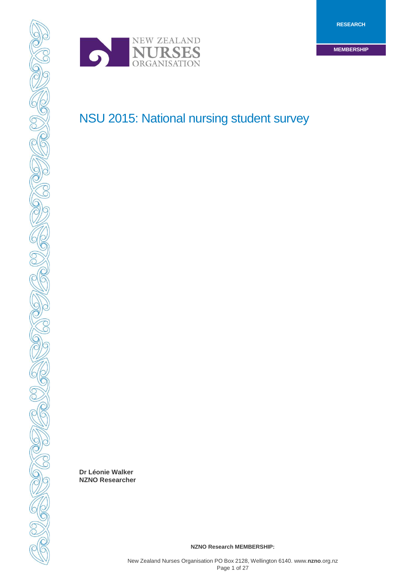

SC

**CONSIDERATION** 

OCTOBER 1999

# NSU 2015: National nursing student survey

**Dr Léonie Walker NZNO Researcher** 

**NZNO Research MEMBERSHIP:**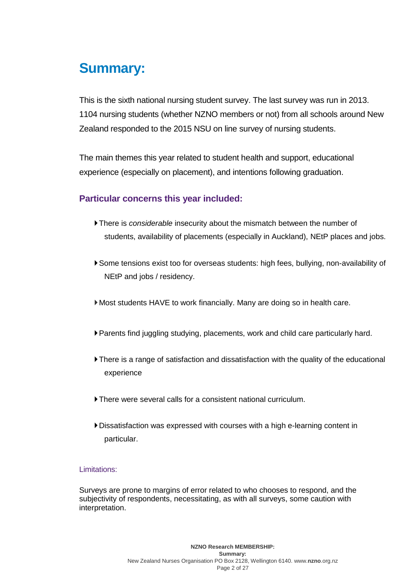# **Summary:**

This is the sixth national nursing student survey. The last survey was run in 2013. 1104 nursing students (whether NZNO members or not) from all schools around New Zealand responded to the 2015 NSU on line survey of nursing students.

The main themes this year related to student health and support, educational experience (especially on placement), and intentions following graduation.

# **Particular concerns this year included:**

- There is *considerable* insecurity about the mismatch between the number of students, availability of placements (especially in Auckland), NEtP places and jobs.
- Some tensions exist too for overseas students: high fees, bullying, non-availability of NEtP and jobs / residency.
- Most students HAVE to work financially. Many are doing so in health care.
- Parents find juggling studying, placements, work and child care particularly hard.
- There is a range of satisfaction and dissatisfaction with the quality of the educational experience
- There were several calls for a consistent national curriculum.
- Dissatisfaction was expressed with courses with a high e-learning content in particular.

# Limitations:

Surveys are prone to margins of error related to who chooses to respond, and the subjectivity of respondents, necessitating, as with all surveys, some caution with interpretation.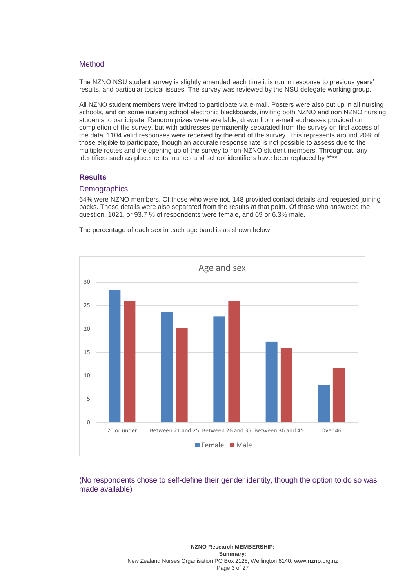#### **Method**

The NZNO NSU student survey is slightly amended each time it is run in response to previous years' results, and particular topical issues. The survey was reviewed by the NSU delegate working group.

All NZNO student members were invited to participate via e-mail. Posters were also put up in all nursing schools, and on some nursing school electronic blackboards, inviting both NZNO and non NZNO nursing students to participate. Random prizes were available, drawn from e-mail addresses provided on completion of the survey, but with addresses permanently separated from the survey on first access of the data. 1104 valid responses were received by the end of the survey. This represents around 20% of those eligible to participate, though an accurate response rate is not possible to assess due to the multiple routes and the opening up of the survey to non-NZNO student members. Throughout, any identifiers such as placements, names and school identifiers have been replaced by \*\*\*\*

#### **Results**

#### **Demographics**

64% were NZNO members. Of those who were not, 148 provided contact details and requested joining packs. These details were also separated from the results at that point. Of those who answered the question, 1021, or 93.7 % of respondents were female, and 69 or 6.3% male.

The percentage of each sex in each age band is as shown below:



# (No respondents chose to self-define their gender identity, though the option to do so was made available)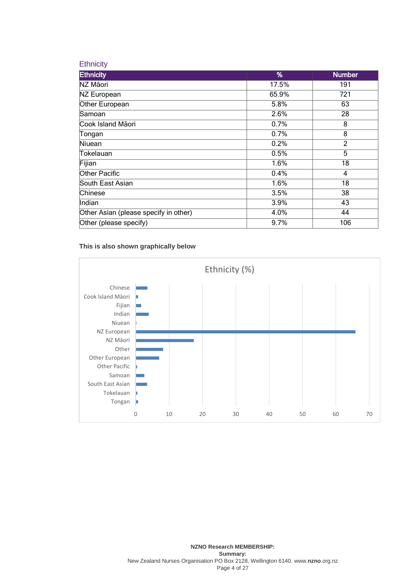## **Ethnicity**

| <b>Ethnicity</b>                      | %     | <b>Number</b>  |
|---------------------------------------|-------|----------------|
| NZ Māori                              | 17.5% | 191            |
| NZ European                           | 65.9% | 721            |
| Other European                        | 5.8%  | 63             |
| Samoan                                | 2.6%  | 28             |
| Cook Island Māori                     | 0.7%  | 8              |
| Tongan                                | 0.7%  | 8              |
| Niuean                                | 0.2%  | $\overline{2}$ |
| Tokelauan                             | 0.5%  | 5              |
| Fijian                                | 1.6%  | 18             |
| Other Pacific                         | 0.4%  | $\overline{4}$ |
| South East Asian                      | 1.6%  | 18             |
| Chinese                               | 3.5%  | 38             |
| Indian                                | 3.9%  | 43             |
| Other Asian (please specify in other) | 4.0%  | 44             |
| Other (please specify)                | 9.7%  | 106            |

## **This is also shown graphically below**

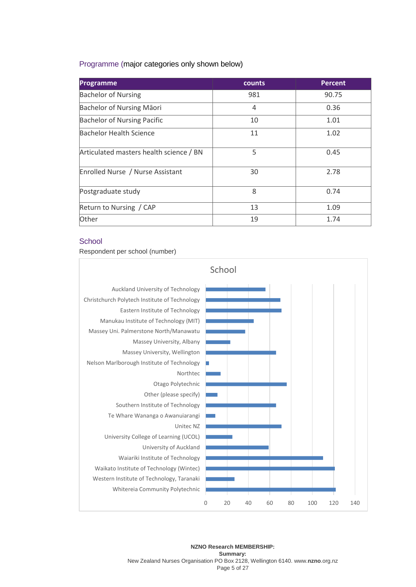# Programme (major categories only shown below)

| <b>Programme</b>                        | counts | <b>Percent</b> |
|-----------------------------------------|--------|----------------|
| <b>Bachelor of Nursing</b>              | 981    | 90.75          |
| Bachelor of Nursing Māori               | 4      | 0.36           |
| <b>Bachelor of Nursing Pacific</b>      | 10     | 1.01           |
| Bachelor Health Science                 | 11     | 1.02           |
| Articulated masters health science / BN | 5      | 0.45           |
| Enrolled Nurse / Nurse Assistant        | 30     | 2.78           |
| Postgraduate study                      | 8      | 0.74           |
| Return to Nursing / CAP                 | 13     | 1.09           |
| Other                                   | 19     | 1.74           |

# **School**

Respondent per school (number)

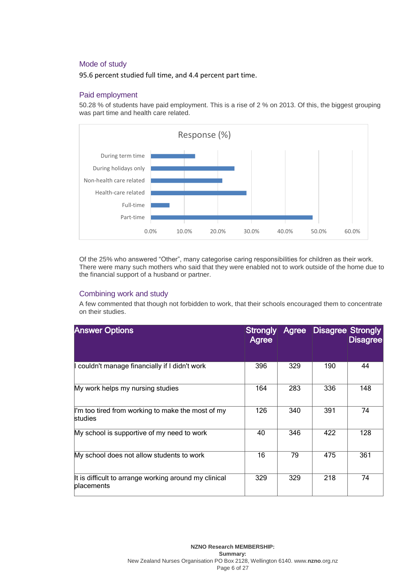# Mode of study

95.6 percent studied full time, and 4.4 percent part time.

# Paid employment

50.28 % of students have paid employment. This is a rise of 2 % on 2013. Of this, the biggest grouping was part time and health care related.



Of the 25% who answered "Other", many categorise caring responsibilities for children as their work. There were many such mothers who said that they were enabled not to work outside of the home due to the financial support of a husband or partner.

# Combining work and study

A few commented that though not forbidden to work, that their schools encouraged them to concentrate on their studies.

| <b>Answer Options</b>                                               | Agree |     | Strongly Agree Disagree Strongly | <b>Disagree</b> |
|---------------------------------------------------------------------|-------|-----|----------------------------------|-----------------|
| I couldn't manage financially if I didn't work                      | 396   | 329 | 190                              | 44              |
| My work helps my nursing studies                                    | 164   | 283 | 336                              | 148             |
| I'm too tired from working to make the most of my<br>studies        | 126   | 340 | 391                              | 74              |
| My school is supportive of my need to work                          | 40    | 346 | 422                              | 128             |
| My school does not allow students to work                           | 16    | 79  | 475                              | 361             |
| It is difficult to arrange working around my clinical<br>placements | 329   | 329 | 218                              | 74              |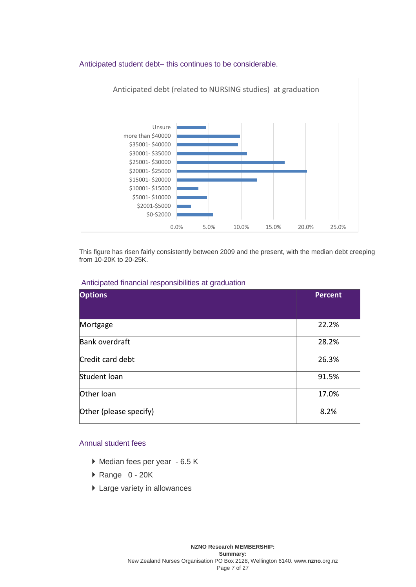

# Anticipated student debt– this continues to be considerable.

This figure has risen fairly consistently between 2009 and the present, with the median debt creeping from 10-20K to 20-25K.

## Anticipated financial responsibilities at graduation

| <b>Options</b>         | <b>Percent</b> |
|------------------------|----------------|
|                        |                |
| Mortgage               | 22.2%          |
| Bank overdraft         | 28.2%          |
| Credit card debt       | 26.3%          |
| Student loan           | 91.5%          |
| Other loan             | 17.0%          |
| Other (please specify) | 8.2%           |

# Annual student fees

- Median fees per year 6.5 K
- Range 0 20K
- ▶ Large variety in allowances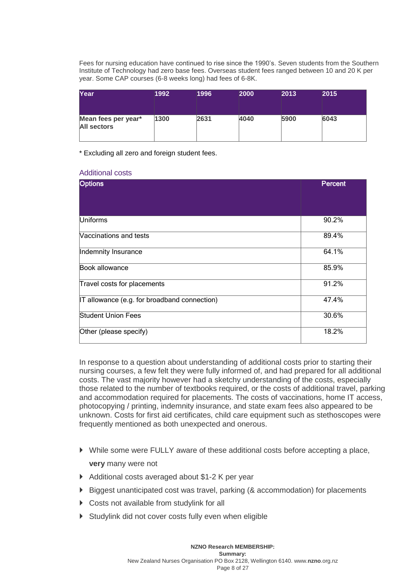Fees for nursing education have continued to rise since the 1990's. Seven students from the Southern Institute of Technology had zero base fees. Overseas student fees ranged between 10 and 20 K per year. Some CAP courses (6-8 weeks long) had fees of 6-8K.

| Year                                      | 1992 | 1996 | 2000 | 2013 | 2015 |
|-------------------------------------------|------|------|------|------|------|
| Mean fees per year*<br><b>All sectors</b> | 1300 | 2631 | 4040 | 5900 | 6043 |

\* Excluding all zero and foreign student fees.

## Additional costs

| <b>Options</b>                               | <b>Percent</b> |
|----------------------------------------------|----------------|
|                                              |                |
| Uniforms                                     | 90.2%          |
| <b>Naccinations and tests</b>                | 89.4%          |
| Indemnity Insurance                          | 64.1%          |
| Book allowance                               | 85.9%          |
| Travel costs for placements                  | 91.2%          |
| IT allowance (e.g. for broadband connection) | 47.4%          |
| <b>Student Union Fees</b>                    | 30.6%          |
| Other (please specify)                       | 18.2%          |

In response to a question about understanding of additional costs prior to starting their nursing courses, a few felt they were fully informed of, and had prepared for all additional costs. The vast majority however had a sketchy understanding of the costs, especially those related to the number of textbooks required, or the costs of additional travel, parking and accommodation required for placements. The costs of vaccinations, home IT access, photocopying / printing, indemnity insurance, and state exam fees also appeared to be unknown. Costs for first aid certificates, child care equipment such as stethoscopes were frequently mentioned as both unexpected and onerous.

- While some were FULLY aware of these additional costs before accepting a place, **very** many were not
- ▶ Additional costs averaged about \$1-2 K per year
- $\triangleright$  Biggest unanticipated cost was travel, parking (& accommodation) for placements
- ▶ Costs not available from studylink for all
- Studylink did not cover costs fully even when eligible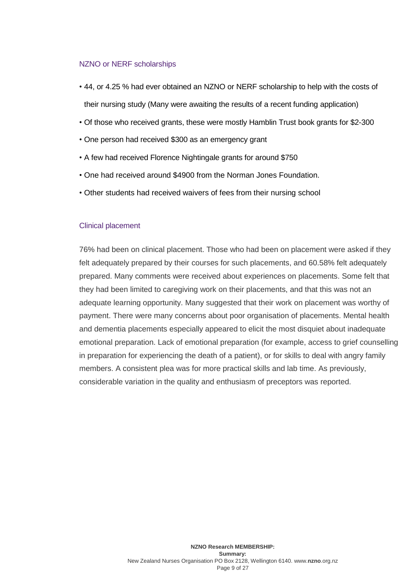# NZNO or NERF scholarships

- 44, or 4.25 % had ever obtained an NZNO or NERF scholarship to help with the costs of their nursing study (Many were awaiting the results of a recent funding application)
- Of those who received grants, these were mostly Hamblin Trust book grants for \$2-300
- One person had received \$300 as an emergency grant
- A few had received Florence Nightingale grants for around \$750
- One had received around \$4900 from the Norman Jones Foundation.
- Other students had received waivers of fees from their nursing school

# Clinical placement

76% had been on clinical placement. Those who had been on placement were asked if they felt adequately prepared by their courses for such placements, and 60.58% felt adequately prepared. Many comments were received about experiences on placements. Some felt that they had been limited to caregiving work on their placements, and that this was not an adequate learning opportunity. Many suggested that their work on placement was worthy of payment. There were many concerns about poor organisation of placements. Mental health and dementia placements especially appeared to elicit the most disquiet about inadequate emotional preparation. Lack of emotional preparation (for example, access to grief counselling in preparation for experiencing the death of a patient), or for skills to deal with angry family members. A consistent plea was for more practical skills and lab time. As previously, considerable variation in the quality and enthusiasm of preceptors was reported.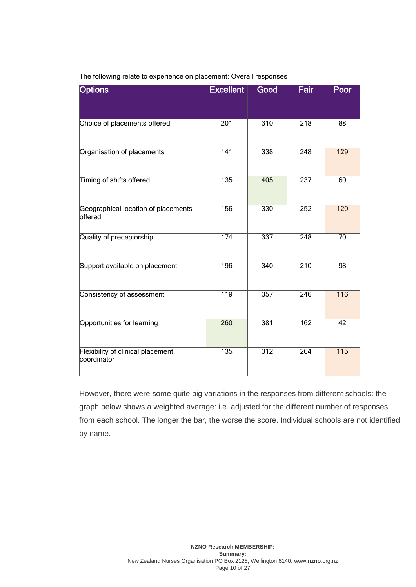| <b>Options</b>                                   | <b>Excellent</b> | Good             | Fair             | Poor             |
|--------------------------------------------------|------------------|------------------|------------------|------------------|
|                                                  |                  |                  |                  |                  |
| Choice of placements offered                     | $\overline{201}$ | $\overline{310}$ | $\overline{218}$ | $\overline{88}$  |
| Organisation of placements                       | $\overline{141}$ | 338              | $\overline{248}$ | 129              |
| Timing of shifts offered                         | $\overline{135}$ | 405              | $\overline{237}$ | 60               |
| Geographical location of placements<br>offered   | 156              | 330              | 252              | $\overline{120}$ |
| Quality of preceptorship                         | 174              | 337              | $\overline{248}$ | $\overline{70}$  |
| Support available on placement                   | 196              | 340              | $\overline{210}$ | 98               |
| Consistency of assessment                        | $\overline{119}$ | 357              | $\overline{246}$ | $\overline{116}$ |
| Opportunities for learning                       | $\overline{260}$ | 381              | $\overline{162}$ | $\overline{42}$  |
| Flexibility of clinical placement<br>coordinator | $\frac{135}{1}$  | $\overline{312}$ | $\overline{264}$ | $\overline{115}$ |

The following relate to experience on placement: Overall responses

However, there were some quite big variations in the responses from different schools: the graph below shows a weighted average: i.e. adjusted for the different number of responses from each school. The longer the bar, the worse the score. Individual schools are not identified by name.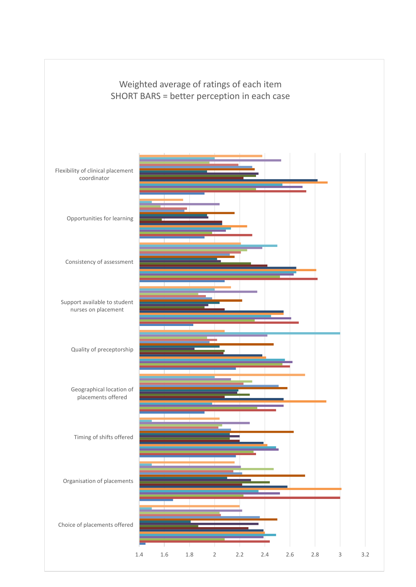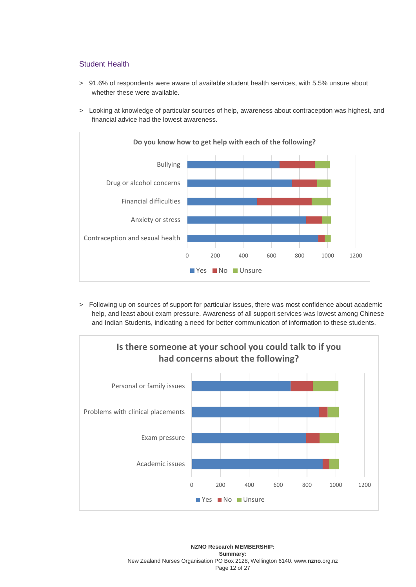# Student Health

- > 91.6% of respondents were aware of available student health services, with 5.5% unsure about whether these were available.
- > Looking at knowledge of particular sources of help, awareness about contraception was highest, and financial advice had the lowest awareness.



> Following up on sources of support for particular issues, there was most confidence about academic help, and least about exam pressure. Awareness of all support services was lowest among Chinese and Indian Students, indicating a need for better communication of information to these students.

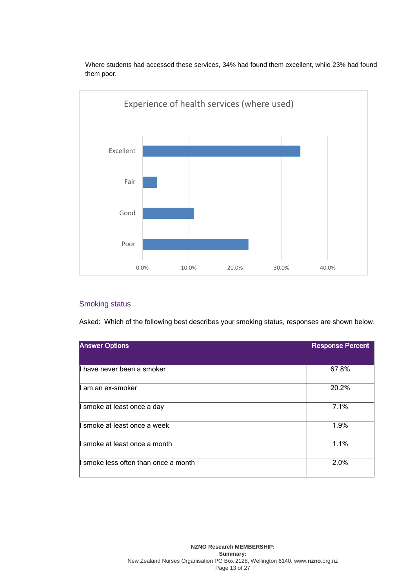

Where students had accessed these services, 34% had found them excellent, while 23% had found them poor.

# Smoking status

Asked: Which of the following best describes your smoking status, responses are shown below.

| <b>Answer Options</b>                 | <b>Response Percent</b> |
|---------------------------------------|-------------------------|
|                                       |                         |
| Il have never been a smoker           | 67.8%                   |
| II am an ex-smoker                    | 20.2%                   |
| I smoke at least once a day           | 7.1%                    |
| ll smoke at least once a week         | 1.9%                    |
| I smoke at least once a month         | 1.1%                    |
| Il smoke less often than once a month | 2.0%                    |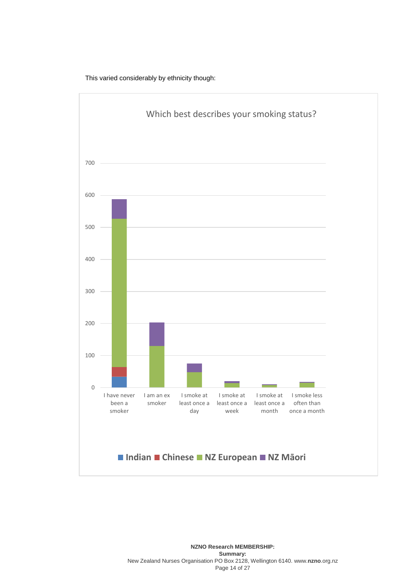

This varied considerably by ethnicity though: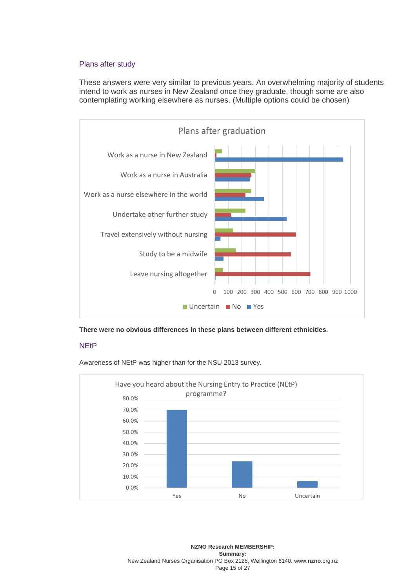# Plans after study

These answers were very similar to previous years. An overwhelming majority of students intend to work as nurses in New Zealand once they graduate, though some are also contemplating working elsewhere as nurses. (Multiple options could be chosen)



**There were no obvious differences in these plans between different ethnicities.** 

# **NEtP**

Awareness of NEtP was higher than for the NSU 2013 survey.



**NZNO Research MEMBERSHIP: Summary:** New Zealand Nurses Organisation PO Box 2128, Wellington 6140. www.**nzno**[.org.nz](http://www.nzno.org.nz/) Page 15 of 27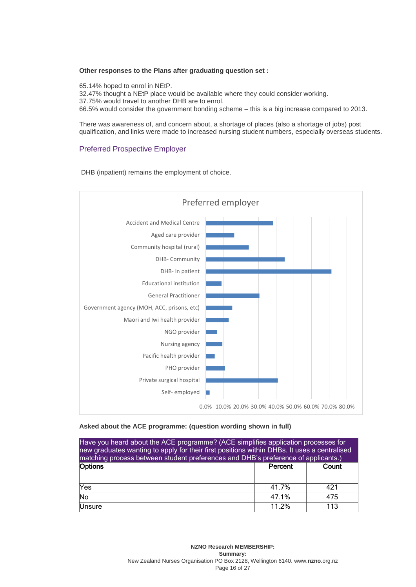#### **Other responses to the Plans after graduating question set :**

65.14% hoped to enrol in NEtP. 32.47% thought a NEtP place would be available where they could consider working. 37.75% would travel to another DHB are to enrol. 66.5% would consider the government bonding scheme – this is a big increase compared to 2013.

There was awareness of, and concern about, a shortage of places (also a shortage of jobs) post qualification, and links were made to increased nursing student numbers, especially overseas students.

# Preferred Prospective Employer

DHB (inpatient) remains the employment of choice.



#### **Asked about the ACE programme: (question wording shown in full)**

| Have you heard about the ACE programme? (ACE simplifies application processes for<br>new graduates wanting to apply for their first positions within DHBs. It uses a centralised<br>matching process between student preferences and DHB's preference of applicants.) |       |     |  |  |  |  |
|-----------------------------------------------------------------------------------------------------------------------------------------------------------------------------------------------------------------------------------------------------------------------|-------|-----|--|--|--|--|
| Options<br>Count<br>Percent                                                                                                                                                                                                                                           |       |     |  |  |  |  |
| Yes<br>41.7%<br>421                                                                                                                                                                                                                                                   |       |     |  |  |  |  |
| $\overline{No}$<br>47.1%<br>475                                                                                                                                                                                                                                       |       |     |  |  |  |  |
| Unsure                                                                                                                                                                                                                                                                | 11.2% | 113 |  |  |  |  |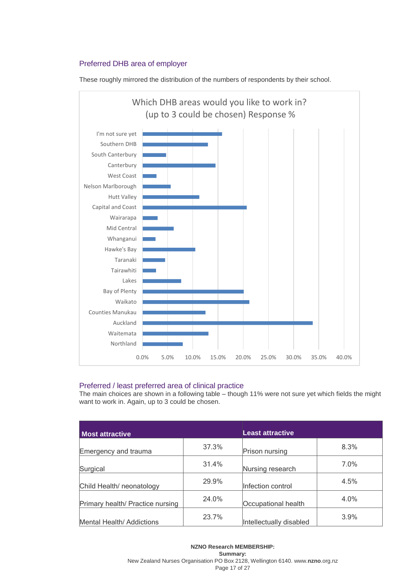# Preferred DHB area of employer

These roughly mirrored the distribution of the numbers of respondents by their school.



# Preferred / least preferred area of clinical practice

The main choices are shown in a following table – though 11% were not sure yet which fields the might want to work in. Again, up to 3 could be chosen.

| <b>Most attractive</b>           |       | <b>Least attractive</b> |         |
|----------------------------------|-------|-------------------------|---------|
| Emergency and trauma             | 37.3% | Prison nursing          | 8.3%    |
| Surgical                         | 31.4% | Nursing research        | $7.0\%$ |
| Child Health/ neonatology        | 29.9% | Infection control       | 4.5%    |
| Primary health/ Practice nursing | 24.0% | Occupational health     | 4.0%    |
| Mental Health/ Addictions        | 23.7% | Intellectually disabled | 3.9%    |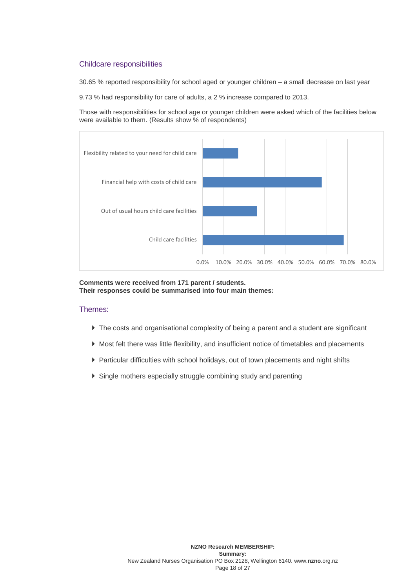# Childcare responsibilities

30.65 % reported responsibility for school aged or younger children – a small decrease on last year

9.73 % had responsibility for care of adults, a 2 % increase compared to 2013.

Those with responsibilities for school age or younger children were asked which of the facilities below were available to them. (Results show % of respondents)



**Comments were received from 171 parent / students. Their responses could be summarised into four main themes:** 

#### Themes:

- The costs and organisational complexity of being a parent and a student are significant
- Most felt there was little flexibility, and insufficient notice of timetables and placements
- Particular difficulties with school holidays, out of town placements and night shifts
- Single mothers especially struggle combining study and parenting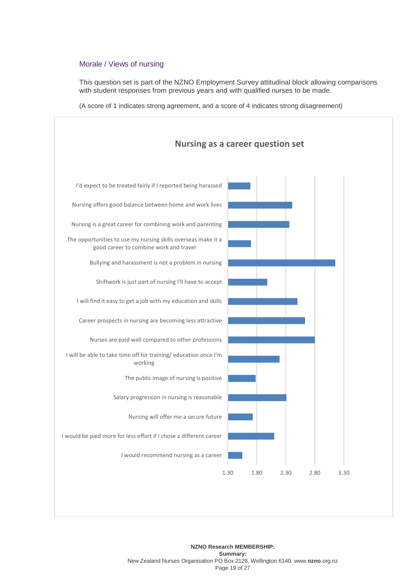# Morale / Views of nursing

This question set is part of the NZNO Employment Survey attitudinal block allowing comparisons with student responses from previous years and with qualified nurses to be made.

(A score of 1 indicates strong agreement, and a score of 4 indicates strong disagreement)

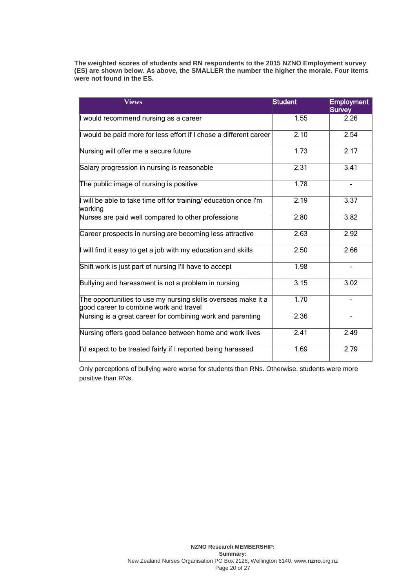**The weighted scores of students and RN respondents to the 2015 NZNO Employment survey (ES) are shown below. As above, the SMALLER the number the higher the morale. Four items were not found in the ES.** 

| <b>Views</b>                                                                                            | <b>Student</b> | <b>Employment</b><br><b>Survey</b> |
|---------------------------------------------------------------------------------------------------------|----------------|------------------------------------|
| would recommend nursing as a career                                                                     | 1.55           | 2.26                               |
| I would be paid more for less effort if I chose a different career                                      | 2.10           | 2.54                               |
| Nursing will offer me a secure future                                                                   | 1.73           | 2.17                               |
| Salary progression in nursing is reasonable                                                             | 2.31           | 3.41                               |
| The public image of nursing is positive                                                                 | 1.78           |                                    |
| I will be able to take time off for training/ education once I'm<br>working                             | 2.19           | 3.37                               |
| Nurses are paid well compared to other professions                                                      | 2.80           | 3.82                               |
| Career prospects in nursing are becoming less attractive                                                | 2.63           | 2.92                               |
| I will find it easy to get a job with my education and skills                                           | 2.50           | 2.66                               |
| Shift work is just part of nursing I'll have to accept                                                  | 1.98           | $\blacksquare$                     |
| Bullying and harassment is not a problem in nursing                                                     | 3.15           | 3.02                               |
| The opportunities to use my nursing skills overseas make it a<br>good career to combine work and travel | 1.70           |                                    |
| Nursing is a great career for combining work and parenting                                              | 2.36           | ۰                                  |
| Nursing offers good balance between home and work lives                                                 | 2.41           | 2.49                               |
| I'd expect to be treated fairly if I reported being harassed                                            | 1.69           | 2.79                               |

Only perceptions of bullying were worse for students than RNs. Otherwise, students were more positive than RNs.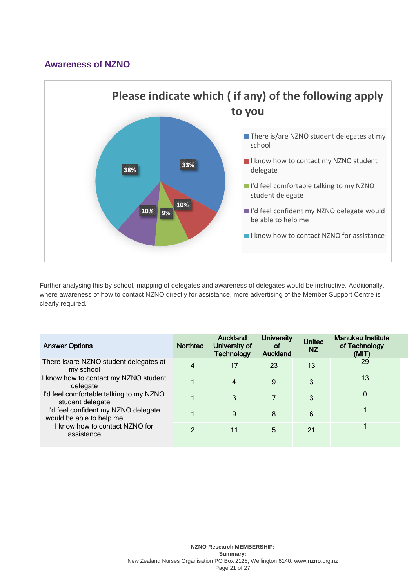# **Awareness of NZNO**



Further analysing this by school, mapping of delegates and awareness of delegates would be instructive. Additionally, where awareness of how to contact NZNO directly for assistance, more advertising of the Member Support Centre is clearly required.

| <b>Answer Options</b>                                           | <b>Northtec</b> | <b>Auckland</b><br>University of<br><b>Technology</b> | <b>University</b><br>οf<br><b>Auckland</b> | <b>Unitec</b><br><b>NZ</b> | <b>Manukau Institute</b><br>of Technology<br>(MIT) |
|-----------------------------------------------------------------|-----------------|-------------------------------------------------------|--------------------------------------------|----------------------------|----------------------------------------------------|
| There is/are NZNO student delegates at<br>my school             | 4               | 17                                                    | 23                                         | 13                         | 29                                                 |
| I know how to contact my NZNO student<br>delegate               |                 | 4                                                     | 9                                          | 3                          | 13                                                 |
| I'd feel comfortable talking to my NZNO<br>student delegate     |                 | 3                                                     | 7                                          | 3                          | 0                                                  |
| I'd feel confident my NZNO delegate<br>would be able to help me |                 | 9                                                     | 8                                          | 6                          |                                                    |
| I know how to contact NZNO for<br>assistance                    | $\mathfrak{p}$  | 11                                                    | 5                                          | 21                         |                                                    |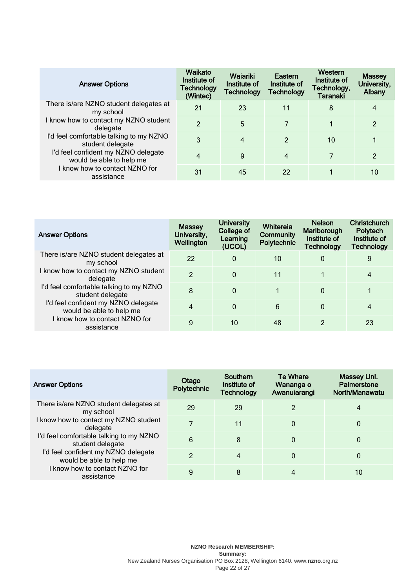| <b>Answer Options</b>                                                                                                                                                                                                                                                                      | Waikato<br>Institute of<br><b>Technology</b><br>(Wintec) | Waiariki<br>Institute of<br>Technology | Eastern<br>Institute of<br><b>Technology</b> | Western<br>Institute of<br>Technology,<br><b>Taranaki</b> | <b>Massey</b><br>University,<br>Albany |
|--------------------------------------------------------------------------------------------------------------------------------------------------------------------------------------------------------------------------------------------------------------------------------------------|----------------------------------------------------------|----------------------------------------|----------------------------------------------|-----------------------------------------------------------|----------------------------------------|
| There is/are NZNO student delegates at<br>my school<br>I know how to contact my NZNO student<br>delegate<br>I'd feel comfortable talking to my NZNO<br>student delegate<br>I'd feel confident my NZNO delegate<br>would be able to help me<br>I know how to contact NZNO for<br>assistance | 21                                                       | 23                                     | 11                                           | 8                                                         | 4                                      |
|                                                                                                                                                                                                                                                                                            | $\overline{2}$                                           | 5                                      | 7                                            |                                                           | 2                                      |
|                                                                                                                                                                                                                                                                                            | 3                                                        | 4                                      | $\mathcal{P}$                                | 10                                                        | 1                                      |
|                                                                                                                                                                                                                                                                                            | 4                                                        | 9                                      | 4                                            | 7                                                         | 2                                      |
|                                                                                                                                                                                                                                                                                            | 31                                                       | 45                                     | 22                                           |                                                           | 10                                     |

| <b>Answer Options</b>                                                                                                                                                                                                                                                                      | <b>Massey</b><br>University,<br>Wellington | <b>University</b><br>College of<br>Learning<br>(UCOL) | Whitereia<br><b>Community</b><br>Polytechnic | <b>Nelson</b><br>Marlborough<br>Institute of<br><b>Technology</b> | <b>Christchurch</b><br>Polytech<br>Institute of<br><b>Technology</b> |
|--------------------------------------------------------------------------------------------------------------------------------------------------------------------------------------------------------------------------------------------------------------------------------------------|--------------------------------------------|-------------------------------------------------------|----------------------------------------------|-------------------------------------------------------------------|----------------------------------------------------------------------|
| There is/are NZNO student delegates at<br>my school<br>I know how to contact my NZNO student<br>delegate<br>I'd feel comfortable talking to my NZNO<br>student delegate<br>I'd feel confident my NZNO delegate<br>would be able to help me<br>I know how to contact NZNO for<br>assistance | 22                                         | 0                                                     | 10                                           | $\mathbf 0$                                                       | 9                                                                    |
|                                                                                                                                                                                                                                                                                            | $\mathfrak{p}$                             | $\Omega$                                              | 11                                           |                                                                   | 4                                                                    |
|                                                                                                                                                                                                                                                                                            | 8                                          | $\Omega$                                              |                                              | $\mathbf{0}$                                                      |                                                                      |
|                                                                                                                                                                                                                                                                                            | $\overline{4}$                             | $\Omega$                                              | 6                                            | $\mathbf{0}$                                                      | 4                                                                    |
|                                                                                                                                                                                                                                                                                            | 9                                          | 10                                                    | 48                                           | 2                                                                 | 23                                                                   |

| <b>Answer Options</b>                                                                                         | Otago<br>Polytechnic | <b>Southern</b><br>Institute of<br><b>Technology</b> | Te Whare<br>Wananga o<br>Awanuiarangi | Massey Uni.<br><b>Palmerstone</b><br>North/Manawatu |
|---------------------------------------------------------------------------------------------------------------|----------------------|------------------------------------------------------|---------------------------------------|-----------------------------------------------------|
| There is/are NZNO student delegates at<br>my school<br>I know how to contact my NZNO student<br>delegate      | 29                   | 29                                                   | 2                                     | 4                                                   |
|                                                                                                               |                      | 11                                                   | 0                                     | 0                                                   |
| I'd feel comfortable talking to my NZNO<br>student delegate                                                   | 6                    | 8                                                    | 0                                     | 0                                                   |
| I'd feel confident my NZNO delegate<br>would be able to help me<br>know how to contact NZNO for<br>assistance | $\mathcal{P}$        | 4                                                    | 0                                     | 0                                                   |
|                                                                                                               | 9                    | 8                                                    | 4                                     | 10                                                  |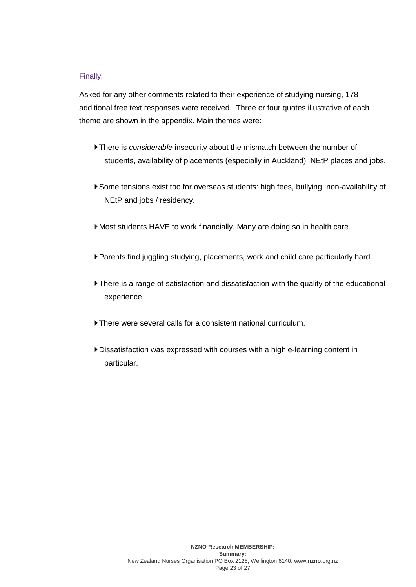# Finally,

Asked for any other comments related to their experience of studying nursing, 178 additional free text responses were received. Three or four quotes illustrative of each theme are shown in the appendix. Main themes were:

- There is *considerable* insecurity about the mismatch between the number of students, availability of placements (especially in Auckland), NEtP places and jobs.
- Some tensions exist too for overseas students: high fees, bullying, non-availability of NEtP and jobs / residency.
- Most students HAVE to work financially. Many are doing so in health care.
- Parents find juggling studying, placements, work and child care particularly hard.
- There is a range of satisfaction and dissatisfaction with the quality of the educational experience
- There were several calls for a consistent national curriculum.
- Dissatisfaction was expressed with courses with a high e-learning content in particular.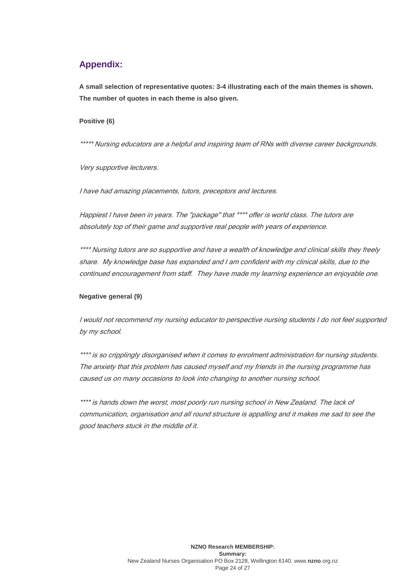# **Appendix:**

**A small selection of representative quotes: 3-4 illustrating each of the main themes is shown. The number of quotes in each theme is also given.**

## **Positive (6)**

\*\*\*\*\* Nursing educators are a helpful and inspiring team of RNs with diverse career backgrounds.

Very supportive lecturers.

I have had amazing placements, tutors, preceptors and lectures.

Happiest I have been in years. The "package" that \*\*\*\* offer is world class. The tutors are absolutely top of their game and supportive real people with years of experience.

\*\*\*\* Nursing tutors are so supportive and have a wealth of knowledge and clinical skills they freely share. My knowledge base has expanded and I am confident with my clinical skills, due to the continued encouragement from staff. They have made my learning experience an enjoyable one.

# **Negative general (9)**

I would not recommend my nursing educator to perspective nursing students I do not feel supported by my school.

\*\*\*\* is so cripplingly disorganised when it comes to enrolment administration for nursing students. The anxiety that this problem has caused myself and my friends in the nursing programme has caused us on many occasions to look into changing to another nursing school.

\*\*\*\* is hands down the worst, most poorly run nursing school in New Zealand. The lack of communication, organisation and all round structure is appalling and it makes me sad to see the good teachers stuck in the middle of it.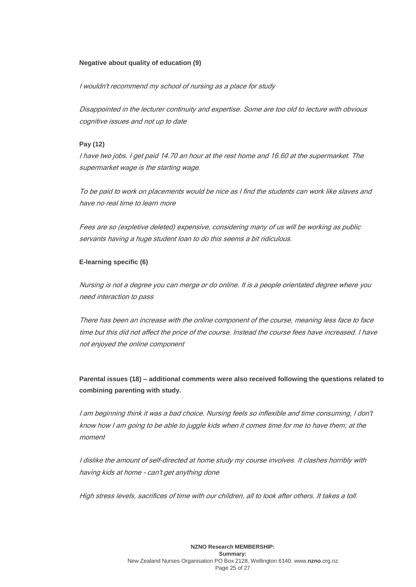#### **Negative about quality of education (9)**

I wouldn't recommend my school of nursing as a place for study

Disappointed in the lecturer continuity and expertise. Some are too old to lecture with obvious cognitive issues and not up to date

# **Pay (12)**

I have two jobs. I get paid 14.70 an hour at the rest home and 16.60 at the supermarket. The supermarket wage is the starting wage.

To be paid to work on placements would be nice as I find the students can work like slaves and have no real time to learn more

Fees are so (expletive deleted) expensive, considering many of us will be working as public servants having a huge student loan to do this seems a bit ridiculous.

#### **E-learning specific (6)**

Nursing is not a degree you can merge or do online. It is a people orientated degree where you need interaction to pass

There has been an increase with the online component of the course, meaning less face to face time but this did not affect the price of the course. Instead the course fees have increased. I have not enjoyed the online component

**Parental issues (18) – additional comments were also received following the questions related to combining parenting with study.**

I am beginning think it was a bad choice. Nursing feels so inflexible and time consuming, I don't know how I am going to be able to juggle kids when it comes time for me to have them; at the moment

I dislike the amount of self-directed at home study my course involves. It clashes horribly with having kids at home - can't get anything done

High stress levels, sacrifices of time with our children, all to look after others. It takes a toll.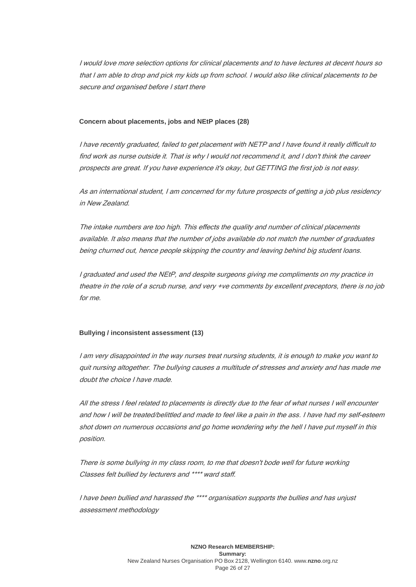I would love more selection options for clinical placements and to have lectures at decent hours so that I am able to drop and pick my kids up from school. I would also like clinical placements to be secure and organised before I start there

#### **Concern about placements, jobs and NEtP places (28)**

I have recently graduated, failed to get placement with NETP and I have found it really difficult to find work as nurse outside it. That is why I would not recommend it, and I don't think the career prospects are great. If you have experience it's okay, but GETTING the first job is not easy.

As an international student, I am concerned for my future prospects of getting a job plus residency in New Zealand.

The intake numbers are too high. This effects the quality and number of clinical placements available. It also means that the number of jobs available do not match the number of graduates being churned out, hence people skipping the country and leaving behind big student loans.

I graduated and used the NEtP, and despite surgeons giving me compliments on my practice in theatre in the role of a scrub nurse, and very +ve comments by excellent preceptors, there is no job for me.

### **Bullying / inconsistent assessment (13)**

I am very disappointed in the way nurses treat nursing students, it is enough to make you want to quit nursing altogether. The bullying causes a multitude of stresses and anxiety and has made me doubt the choice I have made.

All the stress I feel related to placements is directly due to the fear of what nurses I will encounter and how I will be treated/belittled and made to feel like a pain in the ass. I have had my self-esteem shot down on numerous occasions and go home wondering why the hell I have put myself in this position.

There is some bullying in my class room, to me that doesn't bode well for future working Classes felt bullied by lecturers and \*\*\*\* ward staff.

I have been bullied and harassed the \*\*\*\* organisation supports the bullies and has unjust assessment methodology